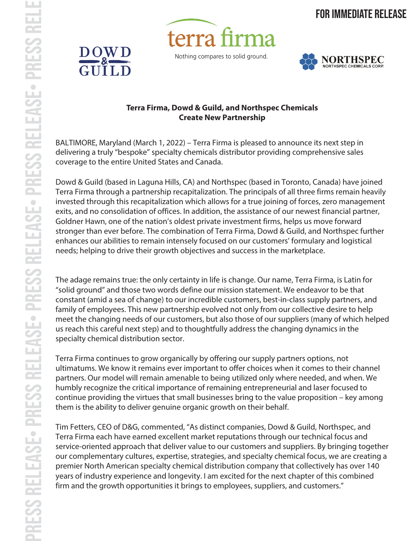

 $\underbrace{\overline{\mathrm{DQWD}}}_{\mathrm{GUT}}$ 





## **Terra Firma, Dowd & Guild, and Northspec Chemicals Create New Partnership**

BALTIMORE, Maryland (March 1, 2022) – Terra Firma is pleased to announce its next step in delivering a truly "bespoke" specialty chemicals distributor providing comprehensive sales coverage to the entire United States and Canada.

Dowd & Guild (based in Laguna Hills, CA) and Northspec (based in Toronto, Canada) have joined Terra Firma through a partnership recapitalization. The principals of all three firms remain heavily invested through this recapitalization which allows for a true joining of forces, zero management exits, and no consolidation of offices. In addition, the assistance of our newest financial partner, Goldner Hawn, one of the nation's oldest private investment firms, helps us move forward stronger than ever before. The combination of Terra Firma, Dowd & Guild, and Northspec further enhances our abilities to remain intensely focused on our customers' formulary and logistical needs; helping to drive their growth objectives and success in the marketplace.

The adage remains true: the only certainty in life is change. Our name, Terra Firma, is Latin for "solid ground" and those two words define our mission statement. We endeavor to be that constant (amid a sea of change) to our incredible customers, best-in-class supply partners, and family of employees. This new partnership evolved not only from our collective desire to help meet the changing needs of our customers, but also those of our suppliers (many of which helped us reach this careful next step) and to thoughtfully address the changing dynamics in the specialty chemical distribution sector.

Terra Firma continues to grow organically by offering our supply partners options, not ultimatums. We know it remains ever important to offer choices when it comes to their channel partners. Our model will remain amenable to being utilized only where needed, and when. We humbly recognize the critical importance of remaining entrepreneurial and laser focused to continue providing the virtues that small businesses bring to the value proposition – key among them is the ability to deliver genuine organic growth on their behalf.

Tim Fetters, CEO of D&G, commented, "As distinct companies, Dowd & Guild, Northspec, and Terra Firma each have earned excellent market reputations through our technical focus and service-oriented approach that deliver value to our customers and suppliers. By bringing together our complementary cultures, expertise, strategies, and specialty chemical focus, we are creating a premier North American specialty chemical distribution company that collectively has over 140 years of industry experience and longevity. I am excited for the next chapter of this combined firm and the growth opportunities it brings to employees, suppliers, and customers."